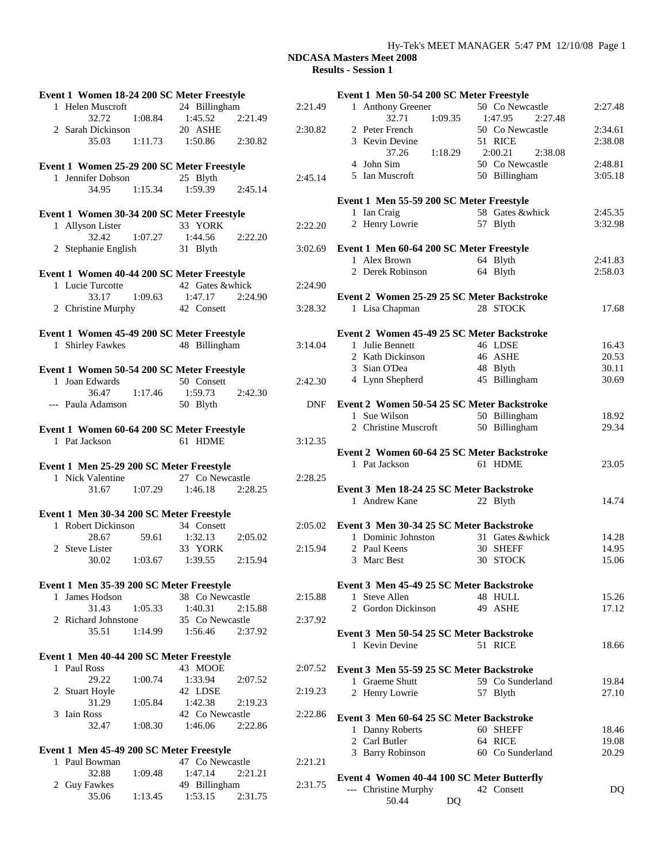### Hy-Tek's MEET MANAGER 5:47 PM 12/10/08 Page 1

| Event 1 Women 18-24 200 SC Meter Freestyle |                                     |         | Ev |
|--------------------------------------------|-------------------------------------|---------|----|
| 1 Helen Muscroft                           | 24 Billingham                       | 2:21.49 |    |
| 1:08.84<br>32.72                           | 1:45.52<br>2:21.49                  |         |    |
| 2 Sarah Dickinson                          | 20 ASHE                             | 2:30.82 |    |
| 35.03                                      | $1:11.73$ $1:50.86$<br>2:30.82      |         |    |
| Event 1 Women 25-29 200 SC Meter Freestyle |                                     |         |    |
| 1 Jennifer Dobson                          | 25 Blyth                            | 2:45.14 |    |
| 34.95<br>1:15.34                           | $1:59.39$ $2:45.14$                 |         |    |
|                                            |                                     |         | Ev |
| Event 1 Women 30-34 200 SC Meter Freestyle |                                     |         |    |
| 1 Allyson Lister                           | 33 YORK                             | 2:22.20 |    |
| 32.42                                      | 1:07.27 1:44.56<br>2:22.20          |         |    |
| 2 Stephanie English                        | 31 Blyth                            | 3:02.69 | Ev |
| Event 1 Women 40-44 200 SC Meter Freestyle |                                     |         |    |
| 1 Lucie Turcotte                           | 42 Gates &whick                     | 2:24.90 |    |
| 33.17                                      | 1:09.63 1:47.17<br>2:24.90          |         | Ev |
| 2 Christine Murphy 42 Consett              |                                     | 3:28.32 |    |
|                                            |                                     |         |    |
| Event 1 Women 45-49 200 SC Meter Freestyle |                                     |         | Ev |
| 1 Shirley Fawkes                           | 48 Billingham                       | 3:14.04 |    |
| Event 1 Women 50-54 200 SC Meter Freestyle |                                     |         |    |
| 1 Joan Edwards                             | 50 Consett                          | 2:42.30 |    |
| 36.47<br>1:17.46                           | 1:59.73<br>2:42.30                  |         |    |
| --- Paula Adamson                          | 50 Blyth                            | DNF     | Ev |
|                                            |                                     |         |    |
| Event 1 Women 60-64 200 SC Meter Freestyle |                                     |         |    |
| 1 Pat Jackson                              | 61 HDME                             | 3:12.35 | Ev |
| Event 1 Men 25-29 200 SC Meter Freestyle   |                                     |         |    |
| 1 Nick Valentine                           | 27 Co Newcastle                     | 2:28.25 |    |
| 31.67 1:07.29                              | 1:46.18 2:28.25                     |         | Ev |
|                                            |                                     |         |    |
| Event 1 Men 30-34 200 SC Meter Freestyle   |                                     |         |    |
| 1 Robert Dickinson                         | 34 Consett                          | 2:05.02 | Ev |
| 59.61<br>28.67                             | 1:32.13<br>2:05.02                  |         |    |
| 2 Steve Lister                             | 33 YORK                             | 2:15.94 |    |
| 1:03.67<br>30.02                           | 1:39.55<br>2:15.94                  |         |    |
| Event 1 Men 35-39 200 SC Meter Freestyle   |                                     |         | Ev |
| James Hodson<br>1                          | 38 Co Newcastle                     | 2:15.88 |    |
|                                            | 1:40.31<br>2:15.88                  |         |    |
| 31.43<br>1:05.33                           |                                     |         |    |
| 2 Richard Johnstone                        | 35 Co Newcastle                     | 2:37.92 |    |
| 35.51<br>1:14.99                           | 1:56.46<br>2:37.92                  |         | Еv |
|                                            |                                     |         |    |
| Event 1 Men 40-44 200 SC Meter Freestyle   |                                     |         |    |
| 1 Paul Ross                                | 43 MOOE                             | 2:07.52 | Ev |
| 29.22<br>1:00.74                           | 1:33.94<br>2:07.52                  |         |    |
| 2 Stuart Hoyle<br>31.29<br>1:05.84         | 42 LDSE<br>1:42.38<br>2:19.23       | 2:19.23 |    |
| 3 Iain Ross                                | 42 Co Newcastle                     | 2:22.86 |    |
| 32.47<br>1:08.30                           | 1:46.06<br>2:22.86                  |         | Ev |
|                                            |                                     |         |    |
| Event 1 Men 45-49 200 SC Meter Freestyle   |                                     |         |    |
| 1 Paul Bowman                              | 47 Co Newcastle                     | 2:21.21 |    |
| 32.88<br>1:09.48<br>2 Guy Fawkes           | 1:47.14<br>2:21.21<br>49 Billingham | 2:31.75 | Ev |

| Event 3 Men 30-34 25 SC Meter Backstroke<br>1 Dominic Johnston<br>2 Paul Keens<br>3 Marc Best | 31 Gates &whick<br>30 SHEFF<br>30 STOCK | 14.28<br>14.95<br>15.06 |
|-----------------------------------------------------------------------------------------------|-----------------------------------------|-------------------------|
| Event 3 Men 45-49 25 SC Meter Backstroke                                                      |                                         |                         |
|                                                                                               |                                         |                         |
|                                                                                               |                                         |                         |
|                                                                                               |                                         |                         |
|                                                                                               |                                         |                         |
|                                                                                               |                                         |                         |
|                                                                                               |                                         |                         |
|                                                                                               |                                         |                         |
|                                                                                               |                                         |                         |
|                                                                                               |                                         |                         |
|                                                                                               |                                         |                         |
|                                                                                               |                                         |                         |
| 1 Andrew Kane                                                                                 | 22 Blyth                                | 14.74                   |
| Event 3 Men 18-24 25 SC Meter Backstroke                                                      |                                         |                         |
|                                                                                               |                                         |                         |
|                                                                                               |                                         |                         |
| 1 Pat Jackson                                                                                 | 61 HDME                                 | 23.05                   |
| Event 2 Women 60-64 25 SC Meter Backstroke                                                    |                                         |                         |
|                                                                                               |                                         |                         |
|                                                                                               |                                         |                         |
| 2 Christine Muscroft                                                                          | 50 Billingham                           | 29.34                   |
| 1 Sue Wilson                                                                                  | 50 Billingham                           | 18.92                   |
|                                                                                               |                                         |                         |
| Event 2 Women 50-54 25 SC Meter Backstroke                                                    |                                         |                         |
|                                                                                               |                                         |                         |
|                                                                                               |                                         |                         |
| 4 Lynn Shepherd                                                                               | 45 Billingham                           | 30.69                   |
| 3 Sian O'Dea                                                                                  | 48 Blyth                                | 30.11                   |
|                                                                                               |                                         | 20.53                   |
| 2 Kath Dickinson                                                                              | 46 ASHE                                 |                         |
| 1 Julie Bennett                                                                               | 46 LDSE                                 | 16.43                   |
| Event 2 Women 45-49 25 SC Meter Backstroke                                                    |                                         |                         |
|                                                                                               |                                         |                         |
| 1 Lisa Chapman                                                                                | 28 STOCK                                | 17.68                   |
| Event 2 Women 25-29 25 SC Meter Backstroke                                                    |                                         |                         |
|                                                                                               |                                         |                         |
|                                                                                               |                                         |                         |
| 2 Derek Robinson                                                                              | 64 Blyth                                | 2:58.03                 |
| 1 Alex Brown                                                                                  | 64 Blyth                                | 2:41.83                 |
| Event 1 Men 60-64 200 SC Meter Freestyle                                                      |                                         |                         |
|                                                                                               |                                         |                         |
| 2 Henry Lowrie                                                                                | 57 Blyth                                | 3:32.98                 |
| 1 Ian Craig                                                                                   | 58 Gates &whick                         | 2:45.35                 |
|                                                                                               |                                         |                         |
| Event 1 Men 55-59 200 SC Meter Freestyle                                                      |                                         |                         |
|                                                                                               |                                         |                         |
| 5 Ian Muscroft                                                                                | 50 Billingham                           | 3:05.18                 |
| 4 John Sim                                                                                    | 50 Co Newcastle                         | 2:48.81                 |
|                                                                                               |                                         |                         |
| 37.26<br>1:18.29                                                                              | 2:00.21<br>2:38.08                      |                         |
| 3 Kevin Devine                                                                                | 51 RICE                                 | 2:38.08                 |
| 2 Peter French                                                                                | 50 Co Newcastle                         | 2:34.61                 |
|                                                                                               | 2:27.48                                 |                         |
|                                                                                               |                                         |                         |
| 1:09.35 1:47.95<br>32.71                                                                      |                                         |                         |
| Event 1 Men 50-54 200 SC Meter Freestyle<br>1 Anthony Greener                                 | 50 Co Newcastle                         | 2:27.48                 |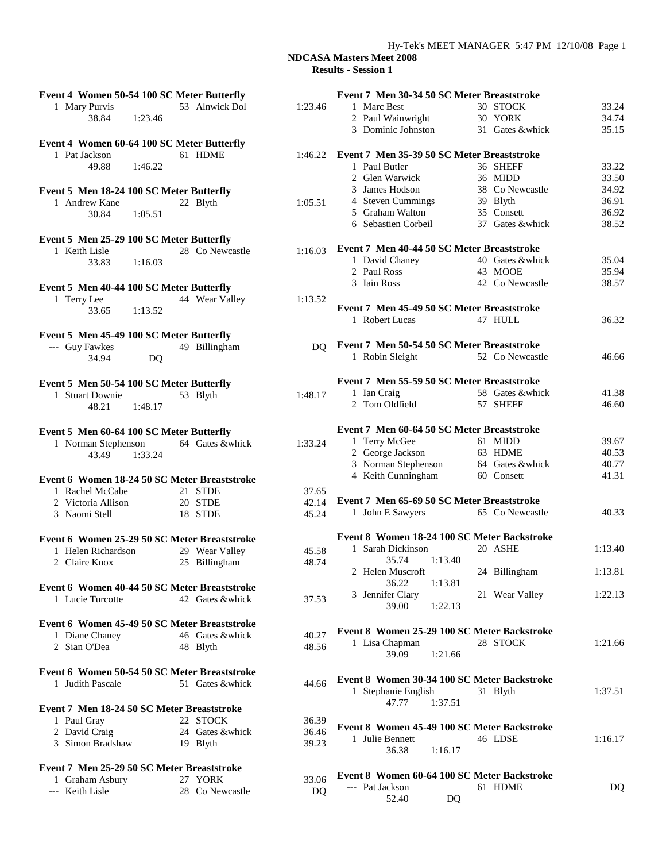| Event 4 Women 50-54 100 SC Meter Butterfly   |                  |         | Event 7 Men 30-34 50 SC Meter Breaststroke  |                  |                |
|----------------------------------------------|------------------|---------|---------------------------------------------|------------------|----------------|
| 1 Mary Purvis                                | 53 Alnwick Dol   | 1:23.46 | 1 Marc Best                                 | 30 STOCK         | 33.24          |
| 38.84<br>1:23.46                             |                  |         | 2 Paul Wainwright                           | 30 YORK          | 34.74          |
|                                              |                  |         | 3 Dominic Johnston                          | 31 Gates &whick  | 35.15          |
| Event 4 Women 60-64 100 SC Meter Butterfly   |                  |         |                                             |                  |                |
| 1 Pat Jackson                                | 61 HDME          | 1:46.22 | Event 7 Men 35-39 50 SC Meter Breaststroke  |                  |                |
| 49.88<br>1:46.22                             |                  |         | 1 Paul Butler                               | 36 SHEFF         | 33.22          |
|                                              |                  |         | 2 Glen Warwick                              | 36 MIDD          | 33.50          |
| Event 5 Men 18-24 100 SC Meter Butterfly     |                  |         | 3 James Hodson                              | 38 Co Newcastle  | 34.92          |
| 1 Andrew Kane                                | 22 Blyth         | 1:05.51 | 4 Steven Cummings                           | 39 Blyth         | 36.91          |
| 30.84<br>1:05.51                             |                  |         | 5 Graham Walton                             | 35 Consett       | 36.92          |
|                                              |                  |         | 6 Sebastien Corbeil                         | 37 Gates & whick | 38.52          |
| Event 5 Men 25-29 100 SC Meter Butterfly     |                  |         |                                             |                  |                |
| 1 Keith Lisle                                | 28 Co Newcastle  | 1:16.03 | Event 7 Men 40-44 50 SC Meter Breaststroke  |                  |                |
| 33.83<br>1:16.03                             |                  |         | 1 David Chaney                              | 40 Gates &whick  | 35.04          |
|                                              |                  |         | 2 Paul Ross                                 | 43 MOOE          | 35.94          |
| Event 5 Men 40-44 100 SC Meter Butterfly     |                  |         | 3 Iain Ross                                 | 42 Co Newcastle  | 38.57          |
| 1 Terry Lee                                  | 44 Wear Valley   | 1:13.52 |                                             |                  |                |
| 33.65<br>1:13.52                             |                  |         | Event 7 Men 45-49 50 SC Meter Breaststroke  |                  |                |
|                                              |                  |         | 1 Robert Lucas                              | 47 HULL          | 36.32          |
| Event 5 Men 45-49 100 SC Meter Butterfly     |                  |         |                                             |                  |                |
| --- Guy Fawkes                               | 49 Billingham    | DO.     | Event 7 Men 50-54 50 SC Meter Breaststroke  |                  |                |
| 34.94<br>DQ                                  |                  |         | 1 Robin Sleight                             | 52 Co Newcastle  | 46.66          |
|                                              |                  |         |                                             |                  |                |
| Event 5 Men 50-54 100 SC Meter Butterfly     |                  |         | Event 7 Men 55-59 50 SC Meter Breaststroke  |                  |                |
| 1 Stuart Downie                              | 53 Blyth         | 1:48.17 | 1 Ian Craig                                 | 58 Gates &whick  | 41.38          |
| 48.21<br>1:48.17                             |                  |         | 2 Tom Oldfield                              | 57 SHEFF         | 46.60          |
|                                              |                  |         |                                             |                  |                |
| Event 5 Men 60-64 100 SC Meter Butterfly     |                  |         | Event 7 Men 60-64 50 SC Meter Breaststroke  |                  |                |
| 1 Norman Stephenson                          | 64 Gates &whick  | 1:33.24 | 1 Terry McGee                               | 61 MIDD          | 39.67          |
| 1:33.24<br>43.49                             |                  |         | 2 George Jackson                            | 63 HDME          | 40.53          |
|                                              |                  |         | 3 Norman Stephenson                         | 64 Gates &whick  | 40.77          |
|                                              |                  |         | 4 Keith Cunningham                          | 60 Consett       | 41.31          |
| Event 6 Women 18-24 50 SC Meter Breaststroke |                  |         |                                             |                  |                |
| 1 Rachel McCabe                              | 21 STDE          | 37.65   | Event 7 Men 65-69 50 SC Meter Breaststroke  |                  |                |
| 2 Victoria Allison                           | 20 STDE          | 42.14   | 1 John E Sawyers                            | 65 Co Newcastle  | 40.33          |
| 3 Naomi Stell                                | 18 STDE          | 45.24   |                                             |                  |                |
|                                              |                  |         | Event 8 Women 18-24 100 SC Meter Backstroke |                  |                |
| Event 6 Women 25-29 50 SC Meter Breaststroke |                  |         | 1 Sarah Dickinson                           | 20 ASHE          | 1:13.40        |
| 1 Helen Richardson                           | 29 Wear Valley   | 45.58   | 35.74<br>1:13.40                            |                  |                |
| 2 Claire Knox                                | 25 Billingham    | 48.74   | 2 Helen Muscroft                            | 24 Billingham    | 1:13.81        |
|                                              |                  |         | 36.22<br>1:13.81                            |                  |                |
| Event 6 Women 40-44 50 SC Meter Breaststroke |                  |         |                                             |                  | 1:22.13        |
| 1 Lucie Turcotte                             | 42 Gates & whick | 37.53   | 3 Jennifer Clary<br>1:22.13<br>39.00        | 21 Wear Valley   |                |
|                                              |                  |         |                                             |                  |                |
| Event 6 Women 45-49 50 SC Meter Breaststroke |                  |         | Event 8 Women 25-29 100 SC Meter Backstroke |                  |                |
| 1 Diane Chaney                               | 46 Gates &whick  | 40.27   | 1 Lisa Chapman                              | 28 STOCK         | 1:21.66        |
| 2 Sian O'Dea                                 | 48 Blyth         | 48.56   | 39.09<br>1:21.66                            |                  |                |
|                                              |                  |         |                                             |                  |                |
| Event 6 Women 50-54 50 SC Meter Breaststroke |                  |         | Event 8 Women 30-34 100 SC Meter Backstroke |                  |                |
| 1 Judith Pascale                             | 51 Gates &whick  | 44.66   | 1 Stephanie English                         | 31 Blyth         | 1:37.51        |
|                                              |                  |         | 47.77<br>1:37.51                            |                  |                |
| Event 7 Men 18-24 50 SC Meter Breaststroke   |                  |         |                                             |                  |                |
| 1 Paul Gray                                  | 22 STOCK         | 36.39   |                                             |                  |                |
| 2 David Craig                                | 24 Gates &whick  | 36.46   | Event 8 Women 45-49 100 SC Meter Backstroke |                  |                |
| 3 Simon Bradshaw                             | 19 Blyth         | 39.23   | 1 Julie Bennett                             | 46 LDSE          | 1:16.17        |
|                                              |                  |         | 36.38<br>1:16.17                            |                  |                |
| Event 7 Men 25-29 50 SC Meter Breaststroke   |                  |         |                                             |                  |                |
| 1 Graham Asbury                              | 27 YORK          | 33.06   | Event 8 Women 60-64 100 SC Meter Backstroke |                  |                |
| --- Keith Lisle                              | 28 Co Newcastle  | DQ      | --- Pat Jackson                             | 61 HDME          | D <sub>Q</sub> |
|                                              |                  |         | 52.40<br>DQ                                 |                  |                |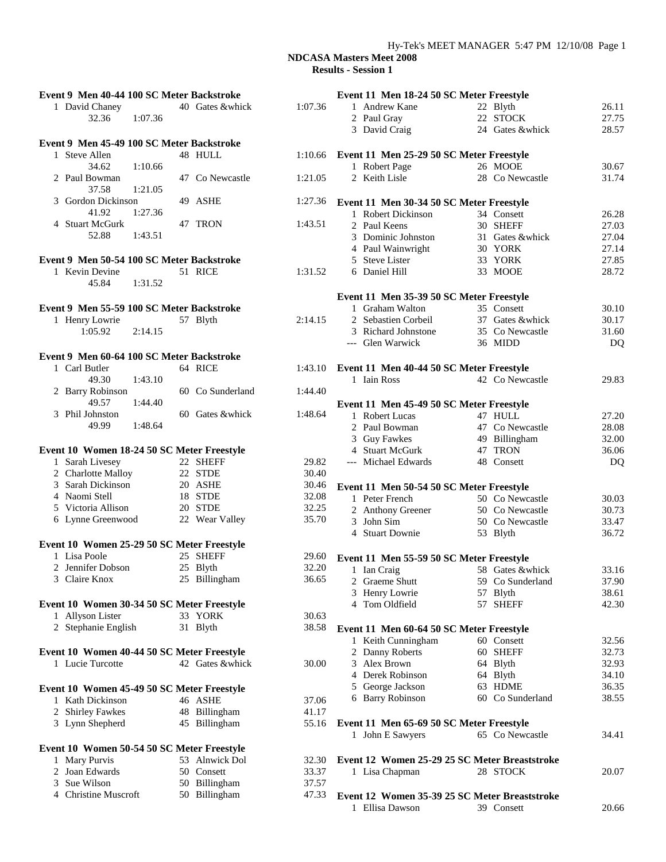| Event 9 Men 40-44 100 SC Meter Backstroke  |                  |         | Event 11 Men 18-24 50 SC Meter Freestyle         |                  |       |
|--------------------------------------------|------------------|---------|--------------------------------------------------|------------------|-------|
| 1 David Chaney                             | 40 Gates & whick | 1:07.36 | 1 Andrew Kane                                    | 22 Blyth         | 26.11 |
| 32.36<br>1:07.36                           |                  |         | 2 Paul Gray                                      | 22 STOCK         | 27.75 |
|                                            |                  |         | 3 David Craig                                    | 24 Gates &whick  | 28.57 |
| Event 9 Men 45-49 100 SC Meter Backstroke  |                  |         |                                                  |                  |       |
| 1 Steve Allen                              | 48 HULL          |         | 1:10.66 Event 11 Men 25-29 50 SC Meter Freestyle |                  |       |
| 34.62<br>1:10.66                           |                  |         | 1 Robert Page                                    | 26 MOOE          | 30.67 |
| 2 Paul Bowman                              | 47 Co Newcastle  | 1:21.05 | 2 Keith Lisle                                    | 28 Co Newcastle  | 31.74 |
| 37.58<br>1:21.05                           |                  |         |                                                  |                  |       |
| 3 Gordon Dickinson                         | 49 ASHE          | 1:27.36 | Event 11 Men 30-34 50 SC Meter Freestyle         |                  |       |
| 41.92<br>1:27.36                           |                  |         | 1 Robert Dickinson                               | 34 Consett       | 26.28 |
| 4 Stuart McGurk                            | 47 TRON          | 1:43.51 | 2 Paul Keens                                     | 30 SHEFF         | 27.03 |
| 52.88<br>1:43.51                           |                  |         | 3 Dominic Johnston                               | 31 Gates &whick  | 27.04 |
|                                            |                  |         | 4 Paul Wainwright                                | 30 YORK          | 27.14 |
| Event 9 Men 50-54 100 SC Meter Backstroke  |                  |         | 5 Steve Lister                                   | 33 YORK          | 27.85 |
| 1 Kevin Devine                             | 51 RICE          | 1:31.52 | 6 Daniel Hill                                    | 33 MOOE          | 28.72 |
| 45.84<br>1:31.52                           |                  |         |                                                  |                  |       |
|                                            |                  |         | Event 11 Men 35-39 50 SC Meter Freestyle         |                  |       |
| Event 9 Men 55-59 100 SC Meter Backstroke  |                  |         | 1 Graham Walton                                  | 35 Consett       | 30.10 |
| 1 Henry Lowrie                             | 57 Blyth         | 2:14.15 | 2 Sebastien Corbeil                              | 37 Gates &whick  | 30.17 |
| 1:05.92<br>2:14.15                         |                  |         | 3 Richard Johnstone                              | 35 Co Newcastle  | 31.60 |
|                                            |                  |         | --- Glen Warwick                                 | 36 MIDD          | DQ    |
|                                            |                  |         |                                                  |                  |       |
| Event 9 Men 60-64 100 SC Meter Backstroke  |                  |         |                                                  |                  |       |
| 1 Carl Butler                              | 64 RICE          | 1:43.10 | Event 11 Men 40-44 50 SC Meter Freestyle         |                  |       |
| 1:43.10<br>49.30                           |                  |         | 1 Iain Ross                                      | 42 Co Newcastle  | 29.83 |
| 2 Barry Robinson                           | 60 Co Sunderland | 1:44.40 |                                                  |                  |       |
| 49.57<br>1:44.40                           |                  |         | Event 11 Men 45-49 50 SC Meter Freestyle         |                  |       |
| 3 Phil Johnston                            | 60 Gates &whick  | 1:48.64 | 1 Robert Lucas                                   | 47 HULL          | 27.20 |
| 49.99<br>1:48.64                           |                  |         | 2 Paul Bowman                                    | 47 Co Newcastle  | 28.08 |
|                                            |                  |         | 3 Guy Fawkes                                     | 49 Billingham    | 32.00 |
| Event 10 Women 18-24 50 SC Meter Freestyle |                  |         | 4 Stuart McGurk                                  | 47 TRON          | 36.06 |
| 1 Sarah Livesey                            | 22 SHEFF         | 29.82   | --- Michael Edwards                              | 48 Consett       | DQ    |
| 2 Charlotte Malloy                         | 22 STDE          | 30.40   |                                                  |                  |       |
| 3 Sarah Dickinson                          | 20 ASHE          | 30.46   | Event 11 Men 50-54 50 SC Meter Freestyle         |                  |       |
| 4 Naomi Stell                              | 18 STDE          | 32.08   | 1 Peter French                                   | 50 Co Newcastle  | 30.03 |
| 5 Victoria Allison                         | 20 STDE          | 32.25   | 2 Anthony Greener                                | 50 Co Newcastle  | 30.73 |
| 6 Lynne Greenwood                          | 22 Wear Valley   | 35.70   | 3 John Sim                                       | 50 Co Newcastle  | 33.47 |
|                                            |                  |         | 4 Stuart Downie                                  | 53 Blyth         | 36.72 |
| Event 10 Women 25-29 50 SC Meter Freestyle |                  |         |                                                  |                  |       |
| 1 Lisa Poole                               | 25 SHEFF         | 29.60   | Event 11 Men 55-59 50 SC Meter Freestyle         |                  |       |
| 2 Jennifer Dobson                          | 25 Blyth         | 32.20   | 1 Ian Craig                                      | 58 Gates &whick  | 33.16 |
| 3<br>Claire Knox                           | 25 Billingham    | 36.65   | 2 Graeme Shutt                                   | 59 Co Sunderland | 37.90 |
|                                            |                  |         | Henry Lowrie<br>3                                | 57 Blyth         | 38.61 |
| Event 10 Women 30-34 50 SC Meter Freestyle |                  |         | 4 Tom Oldfield                                   | 57 SHEFF         | 42.30 |
| 1 Allyson Lister                           | 33 YORK          | 30.63   |                                                  |                  |       |
| 2 Stephanie English                        | 31 Blyth         | 38.58   |                                                  |                  |       |
|                                            |                  |         | Event 11 Men 60-64 50 SC Meter Freestyle         |                  |       |
|                                            |                  |         | 1 Keith Cunningham                               | 60 Consett       | 32.56 |
| Event 10 Women 40-44 50 SC Meter Freestyle |                  |         | 2 Danny Roberts                                  | 60 SHEFF         | 32.73 |
| 1 Lucie Turcotte                           | 42 Gates &whick  | 30.00   | 3 Alex Brown                                     | 64 Blyth         | 32.93 |
|                                            |                  |         | 4 Derek Robinson                                 | 64 Blyth         | 34.10 |
| Event 10 Women 45-49 50 SC Meter Freestyle |                  |         | 5 George Jackson                                 | 63 HDME          | 36.35 |
| 1 Kath Dickinson                           | 46 ASHE          | 37.06   | 6 Barry Robinson                                 | 60 Co Sunderland | 38.55 |
| 2 Shirley Fawkes                           | 48 Billingham    | 41.17   |                                                  |                  |       |
| 3 Lynn Shepherd                            | 45 Billingham    | 55.16   | Event 11 Men 65-69 50 SC Meter Freestyle         |                  |       |
|                                            |                  |         | 1 John E Sawyers                                 | 65 Co Newcastle  | 34.41 |
| Event 10 Women 50-54 50 SC Meter Freestyle |                  |         |                                                  |                  |       |
| 1 Mary Purvis                              | 53 Alnwick Dol   | 32.30   | Event 12 Women 25-29 25 SC Meter Breaststroke    |                  |       |
| 2 Joan Edwards                             | 50 Consett       | 33.37   | 1 Lisa Chapman                                   | 28 STOCK         | 20.07 |
| 3 Sue Wilson                               | 50 Billingham    | 37.57   |                                                  |                  |       |
| 4 Christine Muscroft                       | 50 Billingham    | 47.33   | Event 12 Women 35-39 25 SC Meter Breaststroke    |                  |       |
|                                            |                  |         | 1 Ellisa Dawson                                  | 39 Consett       | 20.66 |
|                                            |                  |         |                                                  |                  |       |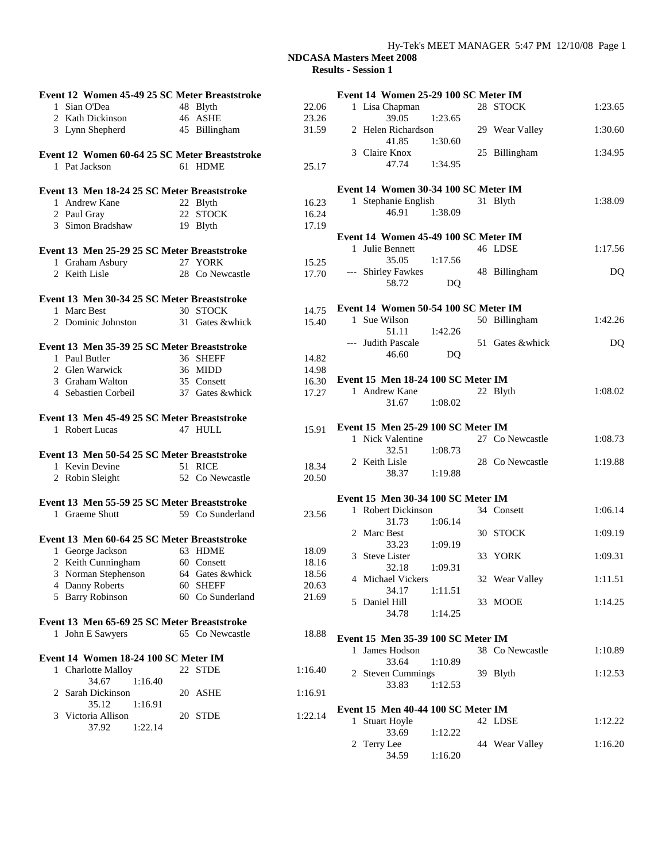| Event 12 Women 45-49 25 SC Meter Breaststroke |                  |         | Event 14 Women 25-29 100 SC Meter IM  |         |
|-----------------------------------------------|------------------|---------|---------------------------------------|---------|
| 1 Sian O'Dea                                  | 48 Blyth         | 22.06   | 1 Lisa Chapman<br>28 STOCK            | 1:23.65 |
| 2 Kath Dickinson                              | 46 ASHE          | 23.26   | 39.05<br>1:23.65                      |         |
| 3 Lynn Shepherd                               | 45 Billingham    | 31.59   | 2 Helen Richardson<br>29 Wear Valley  | 1:30.60 |
|                                               |                  |         | 41.85<br>1:30.60                      |         |
| Event 12 Women 60-64 25 SC Meter Breaststroke |                  |         | 3 Claire Knox<br>25 Billingham        | 1:34.95 |
| 1 Pat Jackson                                 | 61 HDME          | 25.17   | 47.74<br>1:34.95                      |         |
| Event 13 Men 18-24 25 SC Meter Breaststroke   |                  |         | Event 14 Women 30-34 100 SC Meter IM  |         |
| 1 Andrew Kane                                 | 22 Blyth         | 16.23   | 1 Stephanie English<br>31 Blyth       | 1:38.09 |
| 2 Paul Gray                                   | 22 STOCK         | 16.24   | 46.91<br>1:38.09                      |         |
| 3 Simon Bradshaw                              | 19 Blyth         | 17.19   |                                       |         |
|                                               |                  |         | Event 14 Women 45-49 100 SC Meter IM  |         |
| Event 13 Men 25-29 25 SC Meter Breaststroke   |                  |         | 1 Julie Bennett<br>46 LDSE            | 1:17.56 |
|                                               | 27 YORK          | 15.25   | 35.05<br>1:17.56                      |         |
| 1 Graham Asbury<br>2 Keith Lisle              | 28 Co Newcastle  | 17.70   | --- Shirley Fawkes<br>48 Billingham   | DQ      |
|                                               |                  |         | 58.72<br>DQ                           |         |
| Event 13 Men 30-34 25 SC Meter Breaststroke   |                  |         |                                       |         |
| 1 Marc Best                                   | 30 STOCK         | 14.75   | Event 14 Women 50-54 100 SC Meter IM  |         |
| 2 Dominic Johnston                            | 31 Gates &whick  | 15.40   | 1 Sue Wilson<br>50 Billingham         | 1:42.26 |
|                                               |                  |         | 51.11<br>1:42.26                      |         |
| Event 13 Men 35-39 25 SC Meter Breaststroke   |                  |         | --- Judith Pascale<br>51 Gates &whick | DQ      |
| 1 Paul Butler                                 | 36 SHEFF         | 14.82   | 46.60<br>DQ                           |         |
| 2 Glen Warwick                                | 36 MIDD          | 14.98   |                                       |         |
| 3 Graham Walton                               | 35 Consett       | 16.30   | Event 15 Men 18-24 100 SC Meter IM    |         |
|                                               | 37 Gates &whick  |         | 1 Andrew Kane<br>22 Blyth             | 1:08.02 |
| 4 Sebastien Corbeil                           |                  | 17.27   | 1:08.02<br>31.67                      |         |
|                                               |                  |         |                                       |         |
| Event 13 Men 45-49 25 SC Meter Breaststroke   |                  |         | Event 15 Men 25-29 100 SC Meter IM    |         |
| 1 Robert Lucas                                | 47 HULL          | 15.91   | 1 Nick Valentine<br>27 Co Newcastle   | 1:08.73 |
|                                               |                  |         | 32.51<br>1:08.73                      |         |
| Event 13 Men 50-54 25 SC Meter Breaststroke   |                  |         | 2 Keith Lisle<br>28 Co Newcastle      | 1:19.88 |
| 1 Kevin Devine                                | 51 RICE          | 18.34   | 38.37<br>1:19.88                      |         |
| 2 Robin Sleight                               | 52 Co Newcastle  | 20.50   |                                       |         |
| Event 13 Men 55-59 25 SC Meter Breaststroke   |                  |         | Event 15 Men 30-34 100 SC Meter IM    |         |
| 1 Graeme Shutt                                | 59 Co Sunderland | 23.56   | 1 Robert Dickinson<br>34 Consett      | 1:06.14 |
|                                               |                  |         | 1:06.14<br>31.73                      |         |
| Event 13 Men 60-64 25 SC Meter Breaststroke   |                  |         | 2 Marc Best<br>30 STOCK               | 1:09.19 |
| 1 George Jackson                              | 63 HDME          | 18.09   | 33.23<br>1:09.19                      |         |
| 2 Keith Cunningham                            | 60 Consett       | 18.16   | 3 Steve Lister<br>33 YORK             | 1:09.31 |
| 3 Norman Stephenson                           | 64 Gates &whick  | 18.56   | 32.18<br>1:09.31                      |         |
| 4 Danny Roberts                               | 60 SHEFF         | 20.63   | 4 Michael Vickers<br>32 Wear Valley   | 1:11.51 |
| 5 Barry Robinson                              | 60 Co Sunderland | 21.69   | 34.17<br>1:11.51                      |         |
|                                               |                  |         | 5 Daniel Hill<br>33 MOOE              | 1:14.25 |
|                                               |                  |         | 34.78<br>1:14.25                      |         |
| Event 13 Men 65-69 25 SC Meter Breaststroke   | 65 Co Newcastle  | 18.88   |                                       |         |
| 1 John E Sawyers                              |                  |         | Event 15 Men 35-39 100 SC Meter IM    |         |
| Event 14 Women 18-24 100 SC Meter IM          |                  |         | 1 James Hodson<br>38 Co Newcastle     | 1:10.89 |
|                                               |                  |         | 33.64<br>1:10.89                      |         |
| 1 Charlotte Malloy<br>34.67                   | 22 STDE          | 1:16.40 | 2 Steven Cummings<br>39 Blyth         | 1:12.53 |
| 1:16.40                                       |                  |         | 33.83<br>1:12.53                      |         |
| 2 Sarah Dickinson<br>1:16.91                  | 20 ASHE          | 1:16.91 |                                       |         |
| 35.12                                         |                  |         | Event 15 Men 40-44 100 SC Meter IM    |         |
| 3 Victoria Allison                            | 20 STDE          | 1:22.14 | 1 Stuart Hoyle<br>42 LDSE             | 1:12.22 |
| 1:22.14<br>37.92                              |                  |         | 33.69<br>1:12.22                      |         |
|                                               |                  |         | 2 Terry Lee<br>44 Wear Valley         | 1:16.20 |
|                                               |                  |         | 34.59<br>1:16.20                      |         |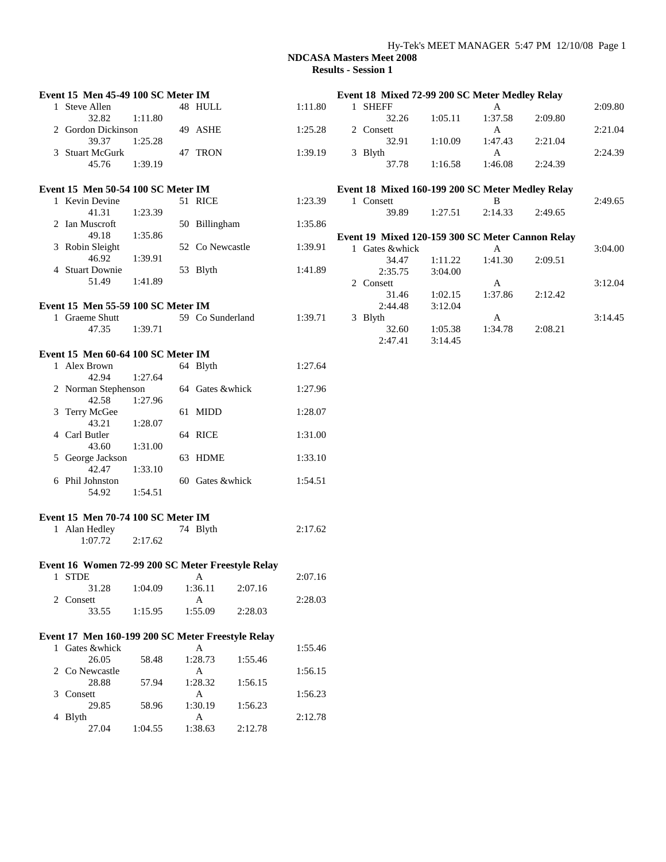### Hy-Tek's MEET MANAGER 5:47 PM 12/10/08 Page 1

| Event 15 Men 45-49 100 SC Meter IM                |         |                  |         |         |                |         |         | Event 18 Mixed 72-99 200 SC Meter Medley Relay   |         |         |
|---------------------------------------------------|---------|------------------|---------|---------|----------------|---------|---------|--------------------------------------------------|---------|---------|
| 1 Steve Allen                                     |         | 48 HULL          |         | 1:11.80 | 1 SHEFF        |         |         | A                                                |         | 2:09.80 |
| 32.82                                             | 1:11.80 |                  |         |         |                | 32.26   | 1:05.11 | 1:37.58                                          | 2:09.80 |         |
| 2 Gordon Dickinson                                |         | 49 ASHE          |         | 1:25.28 | 2 Consett      |         |         | A                                                |         | 2:21.04 |
| 39.37                                             | 1:25.28 |                  |         |         |                | 32.91   | 1:10.09 | 1:47.43                                          | 2:21.04 |         |
| 3 Stuart McGurk                                   |         | 47 TRON          |         | 1:39.19 | 3 Blyth        |         |         | $\mathbf{A}$                                     |         | 2:24.39 |
| 45.76                                             | 1:39.19 |                  |         |         |                | 37.78   | 1:16.58 | 1:46.08                                          | 2:24.39 |         |
| Event 15 Men 50-54 100 SC Meter IM                |         |                  |         |         |                |         |         |                                                  |         |         |
|                                                   |         |                  |         |         |                |         |         | Event 18 Mixed 160-199 200 SC Meter Medley Relay |         |         |
| 1 Kevin Devine<br>41.31                           | 1:23.39 | 51 RICE          |         | 1:23.39 | 1 Consett      | 39.89   | 1:27.51 | B<br>2:14.33                                     | 2:49.65 | 2:49.65 |
| 2 Ian Muscroft                                    |         | 50 Billingham    |         | 1:35.86 |                |         |         |                                                  |         |         |
| 49.18                                             | 1:35.86 |                  |         |         |                |         |         |                                                  |         |         |
| 3 Robin Sleight                                   |         | 52 Co Newcastle  |         | 1:39.91 |                |         |         | Event 19 Mixed 120-159 300 SC Meter Cannon Relay |         |         |
| 46.92                                             | 1:39.91 |                  |         |         | 1 Gates &whick |         |         | A                                                |         | 3:04.00 |
| 4 Stuart Downie                                   |         | 53 Blyth         |         | 1:41.89 |                | 34.47   | 1:11.22 | 1:41.30                                          | 2:09.51 |         |
| 51.49                                             | 1:41.89 |                  |         |         |                | 2:35.75 | 3:04.00 |                                                  |         |         |
|                                                   |         |                  |         |         | 2 Consett      |         |         | A                                                |         | 3:12.04 |
|                                                   |         |                  |         |         |                | 31.46   | 1:02.15 | 1:37.86                                          | 2:12.42 |         |
| Event 15 Men 55-59 100 SC Meter IM                |         |                  |         |         |                | 2:44.48 | 3:12.04 |                                                  |         |         |
| 1 Graeme Shutt                                    |         | 59 Co Sunderland |         | 1:39.71 | 3 Blyth        |         |         | $\mathbf{A}$                                     |         | 3:14.45 |
| 47.35                                             | 1:39.71 |                  |         |         |                | 32.60   | 1:05.38 | 1:34.78                                          | 2:08.21 |         |
|                                                   |         |                  |         |         |                | 2:47.41 | 3:14.45 |                                                  |         |         |
| Event 15 Men 60-64 100 SC Meter IM                |         |                  |         |         |                |         |         |                                                  |         |         |
| 1 Alex Brown                                      |         | 64 Blyth         |         | 1:27.64 |                |         |         |                                                  |         |         |
| 42.94                                             | 1:27.64 |                  |         |         |                |         |         |                                                  |         |         |
| 2 Norman Stephenson                               |         | 64 Gates &whick  |         | 1:27.96 |                |         |         |                                                  |         |         |
| 42.58                                             | 1:27.96 |                  |         |         |                |         |         |                                                  |         |         |
| 3 Terry McGee                                     |         | 61 MIDD          |         | 1:28.07 |                |         |         |                                                  |         |         |
| 43.21                                             | 1:28.07 |                  |         |         |                |         |         |                                                  |         |         |
| 4 Carl Butler                                     |         | 64 RICE          |         | 1:31.00 |                |         |         |                                                  |         |         |
| 43.60                                             | 1:31.00 |                  |         |         |                |         |         |                                                  |         |         |
| 5 George Jackson                                  |         | 63 HDME          |         | 1:33.10 |                |         |         |                                                  |         |         |
| 42.47                                             | 1:33.10 |                  |         |         |                |         |         |                                                  |         |         |
| 6 Phil Johnston                                   |         | 60 Gates &whick  |         | 1:54.51 |                |         |         |                                                  |         |         |
| 54.92                                             | 1:54.51 |                  |         |         |                |         |         |                                                  |         |         |
| Event 15 Men 70-74 100 SC Meter IM                |         |                  |         |         |                |         |         |                                                  |         |         |
| 1 Alan Hedley                                     |         | 74 Blyth         |         | 2:17.62 |                |         |         |                                                  |         |         |
| 1:07.72                                           | 2:17.62 |                  |         |         |                |         |         |                                                  |         |         |
|                                                   |         |                  |         |         |                |         |         |                                                  |         |         |
| Event 16 Women 72-99 200 SC Meter Freestyle Relay |         |                  |         |         |                |         |         |                                                  |         |         |
| 1 STDE                                            |         | A                |         | 2:07.16 |                |         |         |                                                  |         |         |
| 31.28                                             | 1:04.09 | 1:36.11          | 2:07.16 |         |                |         |         |                                                  |         |         |
| 2 Consett                                         |         | $\mathbf{A}$     |         | 2:28.03 |                |         |         |                                                  |         |         |
| 33.55                                             | 1:15.95 | 1:55.09          | 2:28.03 |         |                |         |         |                                                  |         |         |
|                                                   |         |                  |         |         |                |         |         |                                                  |         |         |
| Event 17 Men 160-199 200 SC Meter Freestyle Relay |         |                  |         |         |                |         |         |                                                  |         |         |
| 1 Gates &whick                                    |         | A                |         | 1:55.46 |                |         |         |                                                  |         |         |
| 26.05                                             | 58.48   | 1:28.73          | 1:55.46 |         |                |         |         |                                                  |         |         |
| 2 Co Newcastle                                    |         | $\mathbf{A}$     |         | 1:56.15 |                |         |         |                                                  |         |         |
| 28.88                                             | 57.94   | 1:28.32          | 1:56.15 |         |                |         |         |                                                  |         |         |
| 3 Consett                                         |         | A                |         | 1:56.23 |                |         |         |                                                  |         |         |
| 29.85                                             | 58.96   | 1:30.19          | 1:56.23 |         |                |         |         |                                                  |         |         |
| 4 Blyth                                           |         | $\mathbf{A}$     |         | 2:12.78 |                |         |         |                                                  |         |         |
| 27.04                                             | 1:04.55 | 1:38.63          | 2:12.78 |         |                |         |         |                                                  |         |         |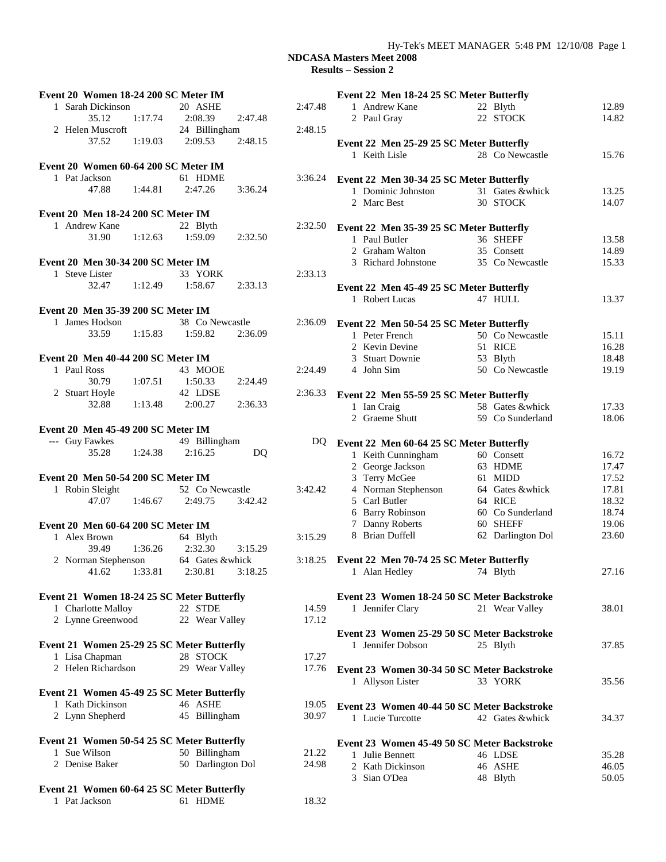### Hy-Tek's MEET MANAGER 5:48 PM 12/10/08 Page 1

| Event 20 Women 18-24 200 SC Meter IM       |                    |         | Event 22 Men 18-24 25 SC Meter Butterfly    |                             |                |
|--------------------------------------------|--------------------|---------|---------------------------------------------|-----------------------------|----------------|
| 1 Sarah Dickinson                          | 20 ASHE            | 2:47.48 | 1 Andrew Kane                               | 22 Blyth                    | 12.89          |
| 35.12<br>1:17.74                           | 2:47.48<br>2:08.39 |         | 2 Paul Gray                                 | 22 STOCK                    | 14.82          |
| 2 Helen Muscroft                           | 24 Billingham      | 2:48.15 |                                             |                             |                |
| 37.52<br>1:19.03                           | 2:48.15<br>2:09.53 |         | Event 22 Men 25-29 25 SC Meter Butterfly    |                             |                |
|                                            |                    |         | 1 Keith Lisle                               | 28 Co Newcastle             | 15.76          |
| Event 20 Women 60-64 200 SC Meter IM       |                    |         |                                             |                             |                |
| 1 Pat Jackson                              | 61 HDME            | 3:36.24 | Event 22 Men 30-34 25 SC Meter Butterfly    |                             |                |
| 47.88<br>1:44.81                           | 2:47.26<br>3:36.24 |         |                                             |                             |                |
|                                            |                    |         | 1 Dominic Johnston<br>2 Marc Best           | 31 Gates &whick<br>30 STOCK | 13.25<br>14.07 |
| Event 20 Men 18-24 200 SC Meter IM         |                    |         |                                             |                             |                |
|                                            |                    |         |                                             |                             |                |
| 1 Andrew Kane                              | 22 Blyth           | 2:32.50 | Event 22 Men 35-39 25 SC Meter Butterfly    |                             |                |
| 31.90<br>1:12.63                           | 1:59.09<br>2:32.50 |         | 1 Paul Butler                               | 36 SHEFF                    | 13.58          |
|                                            |                    |         | 2 Graham Walton                             | 35 Consett                  | 14.89          |
| Event 20 Men 30-34 200 SC Meter IM         |                    |         | 3 Richard Johnstone                         | 35 Co Newcastle             | 15.33          |
| 1 Steve Lister                             | 33 YORK            | 2:33.13 |                                             |                             |                |
| 32.47<br>1:12.49                           | 1:58.67<br>2:33.13 |         | Event 22 Men 45-49 25 SC Meter Butterfly    |                             |                |
|                                            |                    |         | 1 Robert Lucas                              | 47 HULL                     | 13.37          |
| Event 20 Men 35-39 200 SC Meter IM         |                    |         |                                             |                             |                |
| 1 James Hodson                             | 38 Co Newcastle    | 2:36.09 | Event 22 Men 50-54 25 SC Meter Butterfly    |                             |                |
| 33.59<br>1:15.83                           | 1:59.82<br>2:36.09 |         | 1 Peter French                              | 50 Co Newcastle             | 15.11          |
|                                            |                    |         | 2 Kevin Devine                              | 51 RICE                     | 16.28          |
| Event 20 Men 40-44 200 SC Meter IM         |                    |         | 3 Stuart Downie                             | 53 Blyth                    | 18.48          |
| 1 Paul Ross                                | 43 MOOE            | 2:24.49 | 4 John Sim                                  | 50 Co Newcastle             | 19.19          |
| 30.79<br>1:07.51                           | 1:50.33<br>2:24.49 |         |                                             |                             |                |
| 2 Stuart Hoyle                             | 42 LDSE            | 2:36.33 | Event 22 Men 55-59 25 SC Meter Butterfly    |                             |                |
| 1:13.48<br>32.88                           | 2:00.27<br>2:36.33 |         | 1 Ian Craig                                 | 58 Gates &whick             | 17.33          |
|                                            |                    |         | 2 Graeme Shutt                              | 59 Co Sunderland            | 18.06          |
| Event 20 Men 45-49 200 SC Meter IM         |                    |         |                                             |                             |                |
| --- Guy Fawkes                             | 49 Billingham      | DQ.     |                                             |                             |                |
| 35.28<br>1:24.38                           | 2:16.25<br>DQ      |         | Event 22 Men 60-64 25 SC Meter Butterfly    |                             |                |
|                                            |                    |         | 1 Keith Cunningham                          | 60 Consett                  | 16.72          |
|                                            |                    |         | 2 George Jackson                            | 63 HDME                     | 17.47          |
| Event 20 Men 50-54 200 SC Meter IM         |                    |         | 3 Terry McGee                               | 61 MIDD                     | 17.52          |
| 1 Robin Sleight                            | 52 Co Newcastle    | 3:42.42 | 4 Norman Stephenson                         | 64 Gates &whick             | 17.81          |
| 47.07<br>1:46.67                           | 2:49.75<br>3:42.42 |         | 5 Carl Butler                               | 64 RICE                     | 18.32          |
|                                            |                    |         | 6 Barry Robinson                            | 60 Co Sunderland            | 18.74          |
| Event 20 Men 60-64 200 SC Meter IM         |                    |         | 7 Danny Roberts                             | 60 SHEFF                    | 19.06          |
| 1 Alex Brown                               | 64 Blyth           | 3:15.29 | 8 Brian Duffell                             | 62 Darlington Dol           | 23.60          |
| 39.49<br>1:36.26                           | 3:15.29<br>2:32.30 |         |                                             |                             |                |
| 2 Norman Stephenson                        | 64 Gates &whick    | 3:18.25 | Event 22 Men 70-74 25 SC Meter Butterfly    |                             |                |
| 41.62<br>1:33.81                           | 2:30.81<br>3:18.25 |         | 1 Alan Hedley                               | 74 Blyth                    | 27.16          |
|                                            |                    |         |                                             |                             |                |
| Event 21 Women 18-24 25 SC Meter Butterfly |                    |         | Event 23 Women 18-24 50 SC Meter Backstroke |                             |                |
| 1 Charlotte Malloy                         | 22 STDE            | 14.59   | 1 Jennifer Clary                            | 21 Wear Valley              | 38.01          |
| 2 Lynne Greenwood                          | 22 Wear Valley     | 17.12   |                                             |                             |                |
|                                            |                    |         | Event 23 Women 25-29 50 SC Meter Backstroke |                             |                |
| Event 21 Women 25-29 25 SC Meter Butterfly |                    |         | 1 Jennifer Dobson                           | 25 Blyth                    | 37.85          |
| 1 Lisa Chapman                             | 28 STOCK           | 17.27   |                                             |                             |                |
| 2 Helen Richardson                         | 29 Wear Valley     | 17.76   |                                             |                             |                |
|                                            |                    |         | Event 23 Women 30-34 50 SC Meter Backstroke |                             |                |
|                                            |                    |         | 1 Allyson Lister                            | 33 YORK                     | 35.56          |
| Event 21 Women 45-49 25 SC Meter Butterfly |                    |         |                                             |                             |                |
| 1 Kath Dickinson                           | 46 ASHE            | 19.05   | Event 23 Women 40-44 50 SC Meter Backstroke |                             |                |
| 2 Lynn Shepherd                            | 45 Billingham      | 30.97   | 1 Lucie Turcotte                            | 42 Gates &whick             | 34.37          |
|                                            |                    |         |                                             |                             |                |
| Event 21 Women 50-54 25 SC Meter Butterfly |                    |         | Event 23 Women 45-49 50 SC Meter Backstroke |                             |                |
| 1 Sue Wilson                               | 50 Billingham      | 21.22   | 1 Julie Bennett                             | 46 LDSE                     | 35.28          |
| 2 Denise Baker                             | 50 Darlington Dol  | 24.98   | 2 Kath Dickinson                            | 46 ASHE                     | 46.05          |
|                                            |                    |         | 3 Sian O'Dea                                | 48 Blyth                    | 50.05          |
| Event 21 Women 60-64 25 SC Meter Butterfly |                    |         |                                             |                             |                |
| 1 Pat Jackson                              | 61 HDME            | 18.32   |                                             |                             |                |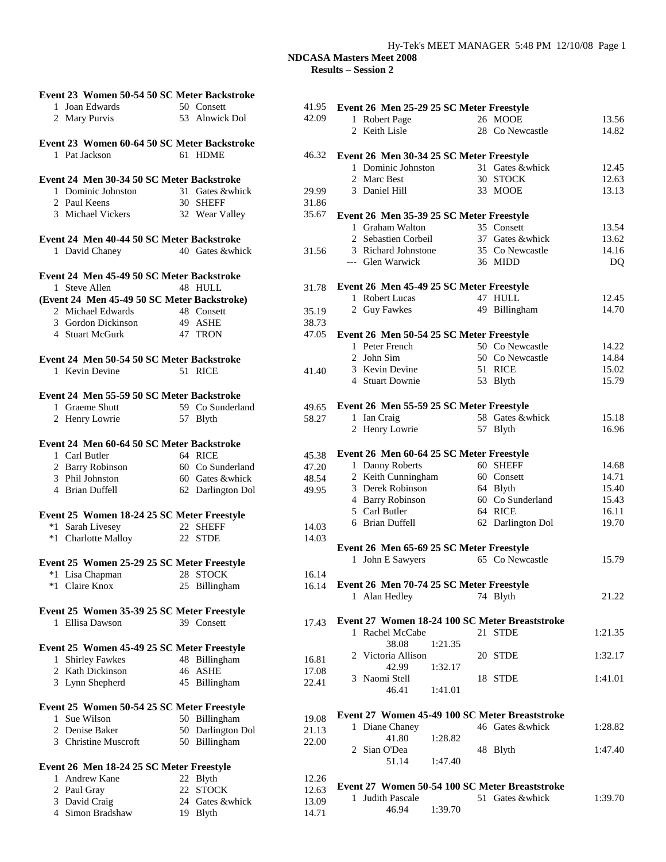| Event 23 Women 50-54 50 SC Meter Backstroke        |                   |       |
|----------------------------------------------------|-------------------|-------|
| 1 Joan Edwards                                     | 50 Consett        | 41.95 |
| 2 Mary Purvis                                      | 53 Alnwick Dol    | 42.09 |
|                                                    |                   |       |
| Event 23 Women 60-64 50 SC Meter Backstroke        |                   |       |
| 1 Pat Jackson                                      | 61 HDME           | 46.32 |
|                                                    |                   |       |
| Event 24 Men 30-34 50 SC Meter Backstroke          |                   |       |
| 1 Dominic Johnston                                 | 31 Gates &whick   | 29.99 |
|                                                    | 30 SHEFF          | 31.86 |
| 2 Paul Keens<br>3 Michael Vickers                  | 32 Wear Valley    | 35.67 |
|                                                    |                   |       |
| Event 24 Men 40-44 50 SC Meter Backstroke          |                   |       |
| 1 David Chaney                                     | 40 Gates & whick  | 31.56 |
|                                                    |                   |       |
| Event 24 Men 45-49 50 SC Meter Backstroke          |                   |       |
| 1 Steve Allen                                      | 48 HULL           | 31.78 |
| (Event 24 Men 45-49 50 SC Meter Backstroke)        |                   |       |
| 2 Michael Edwards                                  | 48 Consett        | 35.19 |
| 3 Gordon Dickinson 49 ASHE                         |                   | 38.73 |
| 4 Stuart McGurk                                    | 47 TRON           | 47.05 |
|                                                    |                   |       |
| Event 24 Men 50-54 50 SC Meter Backstroke          |                   |       |
| 1 Kevin Devine                                     | 51 RICE           | 41.40 |
|                                                    |                   |       |
| Event 24 Men 55-59 50 SC Meter Backstroke          |                   |       |
| 1 Graeme Shutt                                     | 59 Co Sunderland  | 49.65 |
| 2 Henry Lowrie                                     | 57 Blyth          | 58.27 |
|                                                    |                   |       |
|                                                    |                   |       |
| Event 24 Men 60-64 50 SC Meter Backstroke          |                   |       |
| 1 Carl Butler<br>2 Barry Robinson 60 Co Sunderland | 64 RICE           | 45.38 |
|                                                    |                   | 47.20 |
| 3 Phil Johnston                                    | 60 Gates &whick   | 48.54 |
| 4 Brian Duffell                                    | 62 Darlington Dol | 49.95 |
|                                                    |                   |       |
| Event 25 Women 18-24 25 SC Meter Freestyle         |                   |       |
| *1 Sarah Livesey                                   | 22 SHEFF          | 14.03 |
| *1 Charlotte Malloy 22 STDE                        |                   | 14.03 |
|                                                    |                   |       |
| Event 25 Women 25-29 25 SC Meter Freestyle         |                   |       |
| *1 Lisa Chapman                                    | 28 STOCK          | 16.14 |
| *1 Claire Knox                                     | 25 Billingham     | 16.14 |
|                                                    |                   |       |
| Event 25 Women 35-39 25 SC Meter Freestyle         |                   |       |
| 1 Ellisa Dawson                                    | 39 Consett        | 17.43 |
|                                                    |                   |       |
| Event 25 Women 45-49 25 SC Meter Freestyle         |                   |       |
| 1 Shirley Fawkes                                   | 48 Billingham     | 16.81 |
| 2 Kath Dickinson                                   | 46 ASHE           | 17.08 |
| 3 Lynn Shepherd                                    | 45 Billingham     | 22.41 |
|                                                    |                   |       |
| Event 25 Women 50-54 25 SC Meter Freestyle         |                   |       |
| Sue Wilson<br>$\mathbf{1}$                         | 50 Billingham     | 19.08 |
| 2 Denise Baker                                     | 50 Darlington Dol | 21.13 |
| 3 Christine Muscroft                               | 50 Billingham     | 22.00 |
|                                                    |                   |       |
| Event 26 Men 18-24 25 SC Meter Freestyle           |                   |       |
| 1 Andrew Kane                                      | 22 Blyth          | 12.26 |
| 2 Paul Gray                                        | 22 STOCK          | 12.63 |
| 3 David Craig                                      | 24 Gates &whick   | 13.09 |
| 4 Simon Bradshaw                                   | 19 Blyth          | 14.71 |

| $\overline{5}$          | Event 26 Men 25-29 25 SC Meter Freestyle       |                             |                |
|-------------------------|------------------------------------------------|-----------------------------|----------------|
| $\mathfrak z$           | 1 Robert Page                                  | 26 MOOE                     | 13.56          |
|                         | 2 Keith Lisle                                  | 28 Co Newcastle             | 14.82          |
| $\overline{\mathbf{r}}$ | Event 26 Men 30-34 25 SC Meter Freestyle       |                             |                |
|                         | 1 Dominic Johnston                             | 31 Gates &whick             | 12.45          |
|                         | 2 Marc Best                                    | 30 STOCK                    | 12.63          |
|                         | 3 Daniel Hill                                  | 33 MOOE                     | 13.13          |
| 5                       |                                                |                             |                |
| 7                       | Event 26 Men 35-39 25 SC Meter Freestyle       |                             |                |
|                         | 1 Graham Walton                                | 35 Consett                  | 13.54          |
|                         | 2 Sebastien Corbeil                            | 37 Gates &whick             | 13.62          |
| 5                       | 3 Richard Johnstone                            | 35 Co Newcastle             | 14.16          |
|                         | --- Glen Warwick                               | 36 MIDD                     | <b>DQ</b>      |
| 3                       | Event 26 Men 45-49 25 SC Meter Freestyle       |                             |                |
|                         | 1 Robert Lucas                                 | 47 HULL                     | 12.45          |
| $\mathfrak z$           | 2 Guy Fawkes                                   | 49 Billingham               | 14.70          |
| 3                       |                                                |                             |                |
| $\overline{5}$          | Event 26 Men 50-54 25 SC Meter Freestyle       |                             |                |
|                         | 1 Peter French                                 | 50 Co Newcastle             | 14.22          |
|                         | 2 John Sim                                     | 50 Co Newcastle             | 14.84          |
| $\mathcal{E}$           | 3 Kevin Devine                                 | 51 RICE                     | 15.02          |
|                         | 4 Stuart Downie                                | 53 Blyth                    | 15.79          |
| $\overline{5}$          | Event 26 Men 55-59 25 SC Meter Freestyle       |                             |                |
| 7                       | 1 Ian Craig                                    | 58 Gates &whick             | 15.18          |
|                         | 2 Henry Lowrie                                 | 57 Blyth                    | 16.96          |
|                         |                                                |                             |                |
| $\overline{\mathbf{S}}$ | Event 26 Men 60-64 25 SC Meter Freestyle       |                             |                |
| $\mathbf{)}$            | 1 Danny Roberts                                | 60 SHEFF                    | 14.68          |
| į                       | 2 Keith Cunningham                             | 60 Consett                  | 14.71          |
| 5                       | 3 Derek Robinson                               | 64 Blyth                    | 15.40          |
|                         | 4 Barry Robinson<br>5 Carl Butler              | 60 Co Sunderland<br>64 RICE | 15.43<br>16.11 |
|                         | 6 Brian Duffell                                | 62 Darlington Dol           | 19.70          |
| 3<br>z                  |                                                |                             |                |
|                         | Event 26 Men 65-69 25 SC Meter Freestyle       |                             |                |
|                         | 1 John E Sawyers                               | 65 Co Newcastle             | 15.79          |
| ı                       | Event 26 Men 70-74 25 SC Meter Freestyle       |                             |                |
| į.                      | 1 Alan Hedley                                  | 74 Blyth                    | 21.22          |
|                         |                                                |                             |                |
| z                       | Event 27 Women 18-24 100 SC Meter Breaststroke |                             |                |
|                         | 1 Rachel McCabe                                | 21 STDE                     | 1:21.35        |
|                         | 1:21.35<br>38.08                               |                             |                |
|                         | 2 Victoria Allison                             | 20 STDE                     | 1:32.17        |
| 3                       | 42.99<br>1:32.17                               |                             |                |
|                         | 3 Naomi Stell                                  | 18 STDE                     | 1:41.01        |
|                         | 46.41 1:41.01                                  |                             |                |
|                         | Event 27 Women 45-49 100 SC Meter Breaststroke |                             |                |
| $\overline{\mathbf{S}}$ |                                                | 46 Gates &whick             | 1:28.82        |
| $\mathbf{3}$            | 1 Diane Chaney<br>41.80<br>1:28.82             |                             |                |
| )                       | 2 Sian O'Dea                                   | 48 Blyth                    | 1:47.40        |
|                         | 51.14<br>1:47.40                               |                             |                |
|                         |                                                |                             |                |
| $\overline{\mathbf{3}}$ | Event 27 Women 50-54 100 SC Meter Breaststroke |                             |                |
| J                       | 1 Judith Pascale                               | 51 Gates &whick             | 1:39.70        |
|                         | 46.94<br>1:39.70                               |                             |                |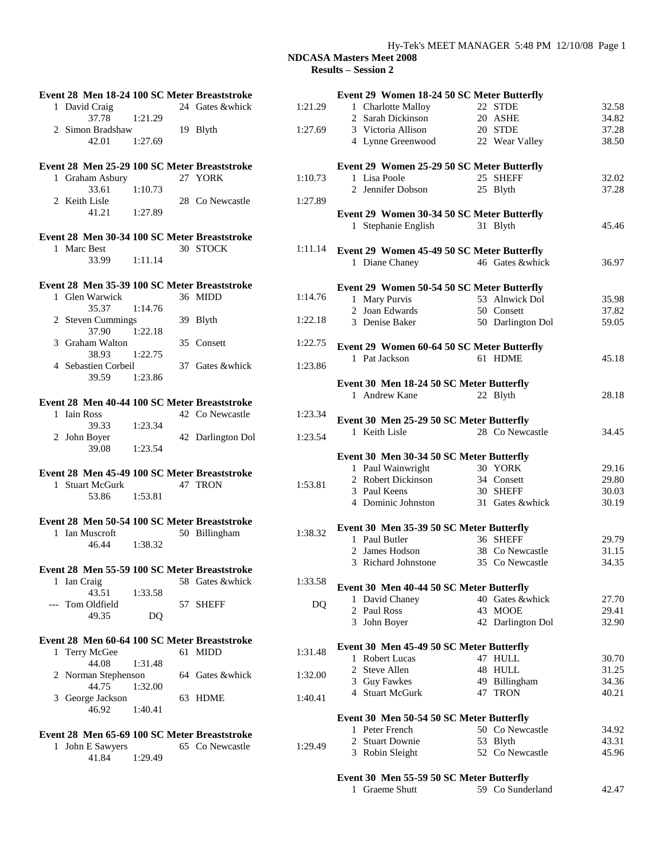# Hy-Tek's MEET MANAGER 5:48 PM 12/10/08 Page 1

| Event 28 Men 18-24 100 SC Meter Breaststroke |                   |         | Event 29 Women 18-24 50 SC Meter Butterfly |                   |       |
|----------------------------------------------|-------------------|---------|--------------------------------------------|-------------------|-------|
| 1 David Craig                                | 24 Gates &whick   | 1:21.29 | 1 Charlotte Malloy                         | 22 STDE           | 32.58 |
| 37.78<br>1:21.29                             |                   |         | 2 Sarah Dickinson                          | 20 ASHE           | 34.82 |
| 2 Simon Bradshaw                             | 19 Blyth          | 1:27.69 | 3 Victoria Allison                         | 20 STDE           | 37.28 |
| 42.01<br>1:27.69                             |                   |         | 4 Lynne Greenwood                          | 22 Wear Valley    | 38.50 |
|                                              |                   |         |                                            |                   |       |
| Event 28 Men 25-29 100 SC Meter Breaststroke |                   |         | Event 29 Women 25-29 50 SC Meter Butterfly |                   |       |
| 1 Graham Asbury                              | 27 YORK           | 1:10.73 | 1 Lisa Poole                               | 25 SHEFF          | 32.02 |
| 33.61<br>1:10.73                             |                   |         | 2 Jennifer Dobson                          | 25 Blyth          | 37.28 |
| 2 Keith Lisle                                | 28 Co Newcastle   | 1:27.89 |                                            |                   |       |
| 1:27.89<br>41.21                             |                   |         | Event 29 Women 30-34 50 SC Meter Butterfly |                   |       |
|                                              |                   |         |                                            |                   | 45.46 |
|                                              |                   |         | 1 Stephanie English                        | 31 Blyth          |       |
| Event 28 Men 30-34 100 SC Meter Breaststroke | 30 STOCK          |         |                                            |                   |       |
| 1 Marc Best                                  |                   | 1:11.14 | Event 29 Women 45-49 50 SC Meter Butterfly |                   |       |
| 33.99<br>1:11.14                             |                   |         | 1 Diane Chaney                             | 46 Gates &whick   | 36.97 |
| Event 28 Men 35-39 100 SC Meter Breaststroke |                   |         |                                            |                   |       |
| 1 Glen Warwick                               | 36 MIDD           | 1:14.76 | Event 29 Women 50-54 50 SC Meter Butterfly |                   |       |
| 1:14.76<br>35.37                             |                   |         | 1 Mary Purvis                              | 53 Alnwick Dol    | 35.98 |
|                                              |                   | 1:22.18 | 2 Joan Edwards                             | 50 Consett        | 37.82 |
| 2 Steven Cummings<br>37.90                   | 39 Blyth          |         | 3 Denise Baker                             | 50 Darlington Dol | 59.05 |
| 1:22.18                                      |                   |         |                                            |                   |       |
| 3 Graham Walton                              | 35 Consett        | 1:22.75 | Event 29 Women 60-64 50 SC Meter Butterfly |                   |       |
| 38.93<br>1:22.75                             |                   |         | 1 Pat Jackson                              | 61 HDME           | 45.18 |
| 4 Sebastien Corbeil                          | 37 Gates &whick   | 1:23.86 |                                            |                   |       |
| 1:23.86<br>39.59                             |                   |         | Event 30 Men 18-24 50 SC Meter Butterfly   |                   |       |
|                                              |                   |         | 1 Andrew Kane                              | 22 Blyth          | 28.18 |
| Event 28 Men 40-44 100 SC Meter Breaststroke |                   |         |                                            |                   |       |
| 1 Iain Ross                                  | 42 Co Newcastle   | 1:23.34 | Event 30 Men 25-29 50 SC Meter Butterfly   |                   |       |
| 39.33<br>1:23.34                             |                   |         | 1 Keith Lisle                              | 28 Co Newcastle   | 34.45 |
| 2 John Boyer                                 | 42 Darlington Dol | 1:23.54 |                                            |                   |       |
| 39.08<br>1:23.54                             |                   |         |                                            |                   |       |
|                                              |                   |         | Event 30 Men 30-34 50 SC Meter Butterfly   |                   |       |
| Event 28 Men 45-49 100 SC Meter Breaststroke |                   |         | 1 Paul Wainwright                          | 30 YORK           | 29.16 |
| 1 Stuart McGurk                              | 47 TRON           | 1:53.81 | 2 Robert Dickinson                         | 34 Consett        | 29.80 |
| 1:53.81<br>53.86                             |                   |         | 3 Paul Keens                               | 30 SHEFF          | 30.03 |
|                                              |                   |         | 4 Dominic Johnston                         | 31 Gates &whick   | 30.19 |
| Event 28 Men 50-54 100 SC Meter Breaststroke |                   |         |                                            |                   |       |
| 1 Ian Muscroft                               | 50 Billingham     | 1:38.32 | Event 30 Men 35-39 50 SC Meter Butterfly   |                   |       |
| 1:38.32<br>46.44                             |                   |         | 1 Paul Butler                              | 36 SHEFF          | 29.79 |
|                                              |                   |         | 2 James Hodson                             | 38 Co Newcastle   | 31.15 |
|                                              |                   |         | 3 Richard Johnstone                        | 35 Co Newcastle   | 34.35 |
| Event 28 Men 55-59 100 SC Meter Breaststroke |                   |         |                                            |                   |       |
| 1 Ian Craig                                  | 58 Gates &whick   | 1:33.58 | Event 30 Men 40-44 50 SC Meter Butterfly   |                   |       |
| 43.51<br>1:33.58                             |                   |         | 1 David Chaney                             | 40 Gates &whick   | 27.70 |
| --- Tom Oldfield                             | 57 SHEFF          | DQ      | 2 Paul Ross                                | 43 MOOE           | 29.41 |
| 49.35<br>DQ                                  |                   |         | 3 John Boyer                               | 42 Darlington Dol | 32.90 |
|                                              |                   |         |                                            |                   |       |
| Event 28 Men 60-64 100 SC Meter Breaststroke |                   |         | Event 30 Men 45-49 50 SC Meter Butterfly   |                   |       |
| 1 Terry McGee                                | 61 MIDD           | 1:31.48 | 1 Robert Lucas                             | 47 HULL           | 30.70 |
| 44.08<br>1:31.48                             |                   |         | 2 Steve Allen                              | 48 HULL           | 31.25 |
| 2 Norman Stephenson                          | 64 Gates &whick   | 1:32.00 | 3 Guy Fawkes                               | 49 Billingham     | 34.36 |
| 1:32.00<br>44.75                             |                   |         | 4 Stuart McGurk                            | 47 TRON           | 40.21 |
| 3 George Jackson                             | 63 HDME           | 1:40.41 |                                            |                   |       |
| 1:40.41<br>46.92                             |                   |         |                                            |                   |       |
|                                              |                   |         | Event 30 Men 50-54 50 SC Meter Butterfly   |                   |       |
| Event 28 Men 65-69 100 SC Meter Breaststroke |                   |         | 1 Peter French                             | 50 Co Newcastle   | 34.92 |
| 1 John E Sawyers                             | 65 Co Newcastle   | 1:29.49 | 2 Stuart Downie                            | 53 Blyth          | 43.31 |
| 1:29.49<br>41.84                             |                   |         | 3 Robin Sleight                            | 52 Co Newcastle   | 45.96 |
|                                              |                   |         |                                            |                   |       |
|                                              |                   |         | Event 30 Men 55-59 50 SC Meter Butterfly   |                   |       |
|                                              |                   |         | 1 Graeme Shutt                             | 59 Co Sunderland  | 42.47 |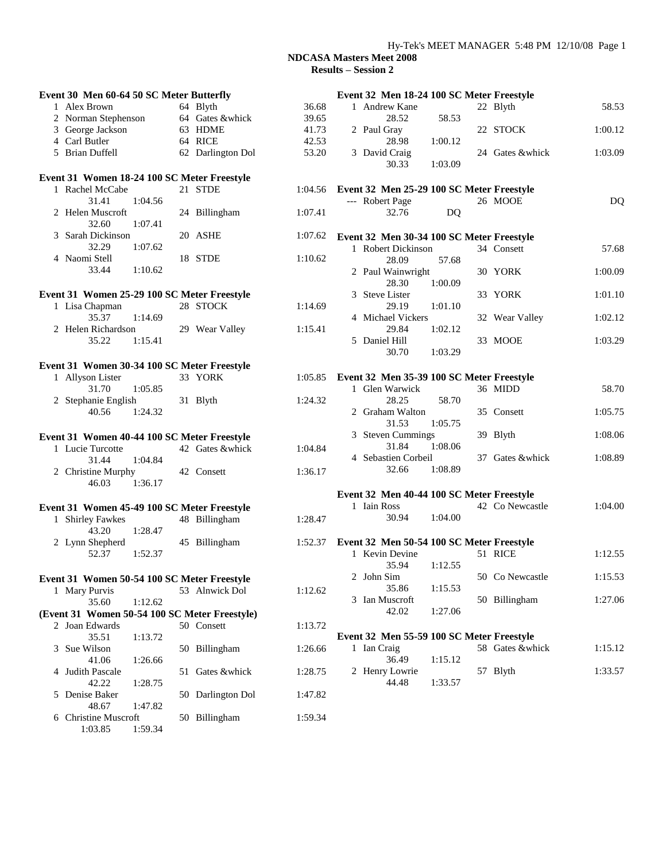### Hy-Tek's MEET MANAGER 5:48 PM 12/10/08 Page 1

 $1:00.12$ 

 $1:01.10$ 

 $1:02.12$ 

 $1:05.75$ 

 $1:08.06$ 

1:08.89

 $1:04.00$ 

 $1:12.55$ 

 $1:15.53$ 

 $1:27.06$ 

| Event 30 Men 60-64 50 SC Meter Butterfly      |                   |         | Event 32 Men 18-24 100 SC Meter Freestyle            |         |
|-----------------------------------------------|-------------------|---------|------------------------------------------------------|---------|
| 1 Alex Brown                                  | 64 Blyth          | 36.68   | 1 Andrew Kane<br>22 Blyth                            | 58.53   |
| 2 Norman Stephenson                           | 64 Gates &whick   | 39.65   | 28.52<br>58.53                                       |         |
| 3 George Jackson                              | 63 HDME           | 41.73   | 2 Paul Gray<br>22 STOCK                              | 1:00.12 |
| 4 Carl Butler                                 | 64 RICE           | 42.53   | 28.98<br>1:00.12                                     |         |
| 5 Brian Duffell                               | 62 Darlington Dol | 53.20   | 24 Gates &whick<br>3 David Craig<br>30.33<br>1:03.09 | 1:03.09 |
| Event 31 Women 18-24 100 SC Meter Freestyle   |                   |         |                                                      |         |
| 1 Rachel McCabe                               | 21 STDE           | 1:04.56 | Event 32 Men 25-29 100 SC Meter Freestyle            |         |
| 31.41<br>1:04.56                              |                   |         | --- Robert Page<br>26 MOOE                           | DQ      |
| 2 Helen Muscroft<br>32.60<br>1:07.41          | 24 Billingham     | 1:07.41 | 32.76<br>DQ                                          |         |
| 3 Sarah Dickinson                             | 20 ASHE           | 1:07.62 | Event 32 Men 30-34 100 SC Meter Freestyle            |         |
| 32.29<br>1:07.62                              |                   |         | 1 Robert Dickinson<br>34 Consett                     | 57.68   |
| 4 Naomi Stell                                 | 18 STDE           | 1:10.62 | 28.09<br>57.68                                       |         |
| 1:10.62<br>33.44                              |                   |         | 2 Paul Wainwright<br>30 YORK                         | 1:00.09 |
|                                               |                   |         | 28.30<br>1:00.09                                     |         |
| Event 31 Women 25-29 100 SC Meter Freestyle   |                   |         | 3 Steve Lister<br>33 YORK                            | 1:01.10 |
| 1 Lisa Chapman                                | 28 STOCK          | 1:14.69 | 29.19<br>1:01.10                                     |         |
| 35.37<br>1:14.69                              |                   |         | 4 Michael Vickers<br>32 Wear Valley                  | 1:02.12 |
| 2 Helen Richardson                            | 29 Wear Valley    | 1:15.41 | 29.84<br>1:02.12                                     |         |
| 35.22<br>1:15.41                              |                   |         | 5 Daniel Hill<br>33 MOOE                             | 1:03.29 |
|                                               |                   |         | 30.70<br>1:03.29                                     |         |
| Event 31 Women 30-34 100 SC Meter Freestyle   |                   |         |                                                      |         |
| 1 Allyson Lister                              | 33 YORK           | 1:05.85 | Event 32 Men 35-39 100 SC Meter Freestyle            |         |
| 31.70<br>1:05.85                              |                   |         | 1 Glen Warwick<br>36 MIDD                            | 58.70   |
| 2 Stephanie English                           | 31 Blyth          | 1:24.32 | 28.25<br>58.70                                       |         |
| 40.56<br>1:24.32                              |                   |         | 2 Graham Walton<br>35 Consett                        | 1:05.75 |
|                                               |                   |         | 31.53<br>1:05.75                                     |         |
| Event 31 Women 40-44 100 SC Meter Freestyle   |                   |         | 3 Steven Cummings<br>39 Blyth                        | 1:08.06 |
| 1 Lucie Turcotte                              | 42 Gates &whick   | 1:04.84 | 31.84<br>1:08.06                                     |         |
| 31.44<br>1:04.84                              |                   |         | 4 Sebastien Corbeil<br>37 Gates &whick               | 1:08.89 |
| 2 Christine Murphy                            | 42 Consett        | 1:36.17 | 32.66<br>1:08.89                                     |         |
| 46.03<br>1:36.17                              |                   |         |                                                      |         |
|                                               |                   |         | Event 32 Men 40-44 100 SC Meter Freestyle            |         |
| Event 31 Women 45-49 100 SC Meter Freestyle   |                   |         | 1 Iain Ross<br>42 Co Newcastle                       | 1:04.00 |
| 1 Shirley Fawkes                              | 48 Billingham     | 1:28.47 | 1:04.00<br>30.94                                     |         |
| 43.20<br>1:28.47                              |                   |         |                                                      |         |
| 2 Lynn Shepherd                               | 45 Billingham     | 1:52.37 | Event 32 Men 50-54 100 SC Meter Freestyle            |         |
| 52.37<br>1:52.37                              |                   |         | 1 Kevin Devine<br>51 RICE                            | 1:12.55 |
|                                               |                   |         | 35.94<br>1:12.55                                     |         |
| Event 31 Women 50-54 100 SC Meter Freestyle   |                   |         | 50 Co Newcastle<br>2 John Sim                        | 1:15.53 |
| 1 Mary Purvis                                 | 53 Alnwick Dol    | 1:12.62 | 35.86<br>1:15.53                                     |         |
| 1:12.62<br>35.60                              |                   |         | 3 Ian Muscroft<br>50 Billingham                      | 1:27.06 |
| (Event 31 Women 50-54 100 SC Meter Freestyle) |                   |         | 42.02<br>1:27.06                                     |         |
| 2 Joan Edwards                                | 50 Consett        | 1:13.72 |                                                      |         |
| 35.51<br>1:13.72                              |                   |         | Event 32 Men 55-59 100 SC Meter Freestyle            |         |
| 3 Sue Wilson                                  | 50 Billingham     | 1:26.66 | 58 Gates &whick<br>1 Ian Craig                       | 1:15.12 |
| 1:26.66<br>41.06                              |                   |         | 36.49<br>1:15.12                                     |         |
| 4 Judith Pascale                              | 51 Gates &whick   | 1:28.75 | 2 Henry Lowrie<br>57 Blyth                           | 1:33.57 |
| 42.22<br>1:28.75                              |                   |         | 1:33.57<br>44.48                                     |         |
| 5 Denise Baker                                | 50 Darlington Dol | 1:47.82 |                                                      |         |
| 1:47.82<br>48.67                              |                   |         |                                                      |         |
| 6 Christine Muscroft                          | 50 Billingham     | 1:59.34 |                                                      |         |
| 1:03.85<br>1:59.34                            |                   |         |                                                      |         |